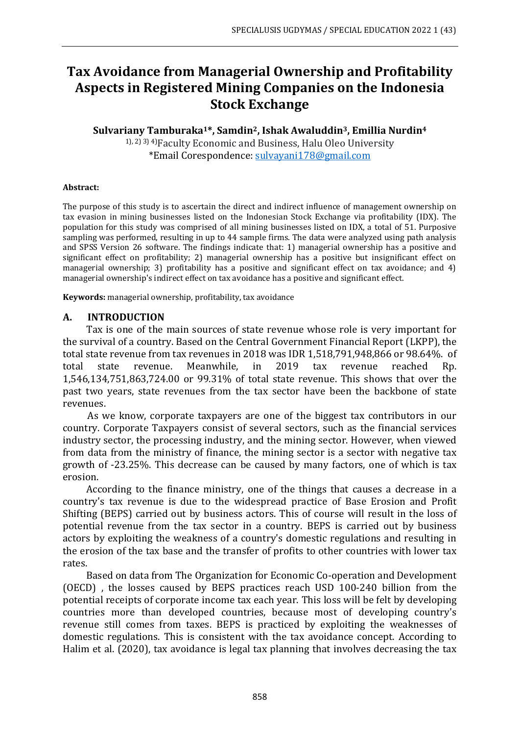# **Tax Avoidance from Managerial Ownership and Profitability Aspects in Registered Mining Companies on the Indonesia Stock Exchange**

# **Sulvariany Tamburaka1\*, Samdin2, Ishak Awaluddin3, Emillia Nurdin<sup>4</sup>**

1), 2) 3) 4)Faculty Economic and Business, Halu Oleo University \*Email Corespondence: [sulvayani178@gmail.com](mailto:sulvayani178@gmail.com)

### **Abstract:**

The purpose of this study is to ascertain the direct and indirect influence of management ownership on tax evasion in mining businesses listed on the Indonesian Stock Exchange via profitability (IDX). The population for this study was comprised of all mining businesses listed on IDX, a total of 51. Purposive sampling was performed, resulting in up to 44 sample firms. The data were analyzed using path analysis and SPSS Version 26 software. The findings indicate that: 1) managerial ownership has a positive and significant effect on profitability; 2) managerial ownership has a positive but insignificant effect on managerial ownership; 3) profitability has a positive and significant effect on tax avoidance; and 4) managerial ownership's indirect effect on tax avoidance has a positive and significant effect.

**Keywords:** managerial ownership, profitability, tax avoidance

### **A. INTRODUCTION**

Tax is one of the main sources of state revenue whose role is very important for the survival of a country. Based on the Central Government Financial Report (LKPP), the total state revenue from tax revenues in 2018 was IDR 1,518,791,948,866 or 98.64%. of total state revenue. Meanwhile, in 2019 tax revenue reached Rp. 1,546,134,751,863,724.00 or 99.31% of total state revenue. This shows that over the past two years, state revenues from the tax sector have been the backbone of state revenues.

As we know, corporate taxpayers are one of the biggest tax contributors in our country. Corporate Taxpayers consist of several sectors, such as the financial services industry sector, the processing industry, and the mining sector. However, when viewed from data from the ministry of finance, the mining sector is a sector with negative tax growth of -23.25%. This decrease can be caused by many factors, one of which is tax erosion.

According to the finance ministry, one of the things that causes a decrease in a country's tax revenue is due to the widespread practice of Base Erosion and Profit Shifting (BEPS) carried out by business actors. This of course will result in the loss of potential revenue from the tax sector in a country. BEPS is carried out by business actors by exploiting the weakness of a country's domestic regulations and resulting in the erosion of the tax base and the transfer of profits to other countries with lower tax rates.

Based on data from The Organization for Economic Co-operation and Development (OECD) , the losses caused by BEPS practices reach USD 100-240 billion from the potential receipts of corporate income tax each year. This loss will be felt by developing countries more than developed countries, because most of developing country's revenue still comes from taxes. BEPS is practiced by exploiting the weaknesses of domestic regulations. This is consistent with the tax avoidance concept. According to Halim et al. (2020), tax avoidance is legal tax planning that involves decreasing the tax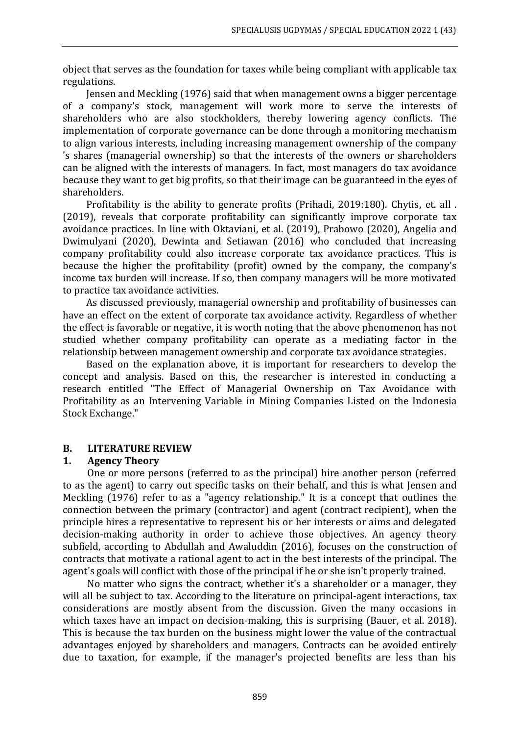object that serves as the foundation for taxes while being compliant with applicable tax regulations.

Jensen and Meckling (1976) said that when management owns a bigger percentage of a company's stock, management will work more to serve the interests of shareholders who are also stockholders, thereby lowering agency conflicts. The implementation of corporate governance can be done through a monitoring mechanism to align various interests, including increasing management ownership of the company 's shares (managerial ownership) so that the interests of the owners or shareholders can be aligned with the interests of managers. In fact, most managers do tax avoidance because they want to get big profits, so that their image can be guaranteed in the eyes of shareholders.

Profitability is the ability to generate profits (Prihadi, 2019:180). Chytis, et. all . (2019), reveals that corporate profitability can significantly improve corporate tax avoidance practices. In line with Oktaviani, et al. (2019), Prabowo (2020), Angelia and Dwimulyani (2020), Dewinta and Setiawan (2016) who concluded that increasing company profitability could also increase corporate tax avoidance practices. This is because the higher the profitability (profit) owned by the company, the company's income tax burden will increase. If so, then company managers will be more motivated to practice tax avoidance activities.

As discussed previously, managerial ownership and profitability of businesses can have an effect on the extent of corporate tax avoidance activity. Regardless of whether the effect is favorable or negative, it is worth noting that the above phenomenon has not studied whether company profitability can operate as a mediating factor in the relationship between management ownership and corporate tax avoidance strategies.

Based on the explanation above, it is important for researchers to develop the concept and analysis. Based on this, the researcher is interested in conducting a research entitled "The Effect of Managerial Ownership on Tax Avoidance with Profitability as an Intervening Variable in Mining Companies Listed on the Indonesia Stock Exchange."

### **B. LITERATURE REVIEW**

### **1. Agency Theory**

One or more persons (referred to as the principal) hire another person (referred to as the agent) to carry out specific tasks on their behalf, and this is what Jensen and Meckling (1976) refer to as a "agency relationship." It is a concept that outlines the connection between the primary (contractor) and agent (contract recipient), when the principle hires a representative to represent his or her interests or aims and delegated decision-making authority in order to achieve those objectives. An agency theory subfield, according to Abdullah and Awaluddin (2016), focuses on the construction of contracts that motivate a rational agent to act in the best interests of the principal. The agent's goals will conflict with those of the principal if he or she isn't properly trained.

No matter who signs the contract, whether it's a shareholder or a manager, they will all be subject to tax. According to the literature on principal-agent interactions, tax considerations are mostly absent from the discussion. Given the many occasions in which taxes have an impact on decision-making, this is surprising (Bauer, et al. 2018). This is because the tax burden on the business might lower the value of the contractual advantages enjoyed by shareholders and managers. Contracts can be avoided entirely due to taxation, for example, if the manager's projected benefits are less than his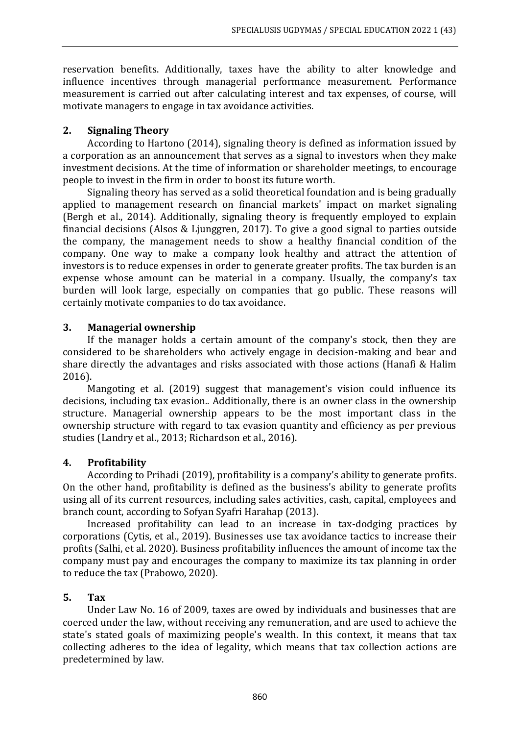reservation benefits. Additionally, taxes have the ability to alter knowledge and influence incentives through managerial performance measurement. Performance measurement is carried out after calculating interest and tax expenses, of course, will motivate managers to engage in tax avoidance activities.

### **2. Signaling Theory**

According to Hartono (2014), signaling theory is defined as information issued by a corporation as an announcement that serves as a signal to investors when they make investment decisions. At the time of information or shareholder meetings, to encourage people to invest in the firm in order to boost its future worth.

Signaling theory has served as a solid theoretical foundation and is being gradually applied to management research on financial markets' impact on market signaling (Bergh et al., 2014). Additionally, signaling theory is frequently employed to explain financial decisions (Alsos & Ljunggren, 2017). To give a good signal to parties outside the company, the management needs to show a healthy financial condition of the company. One way to make a company look healthy and attract the attention of investors is to reduce expenses in order to generate greater profits. The tax burden is an expense whose amount can be material in a company. Usually, the company's tax burden will look large, especially on companies that go public. These reasons will certainly motivate companies to do tax avoidance.

### **3. Managerial ownership**

If the manager holds a certain amount of the company's stock, then they are considered to be shareholders who actively engage in decision-making and bear and share directly the advantages and risks associated with those actions (Hanafi & Halim 2016).

Mangoting et al. (2019) suggest that management's vision could influence its decisions, including tax evasion.. Additionally, there is an owner class in the ownership structure. Managerial ownership appears to be the most important class in the ownership structure with regard to tax evasion quantity and efficiency as per previous studies (Landry et al., 2013; Richardson et al., 2016).

### **4. Profitability**

According to Prihadi (2019), profitability is a company's ability to generate profits. On the other hand, profitability is defined as the business's ability to generate profits using all of its current resources, including sales activities, cash, capital, employees and branch count, according to Sofyan Syafri Harahap (2013).

Increased profitability can lead to an increase in tax-dodging practices by corporations (Cytis, et al., 2019). Businesses use tax avoidance tactics to increase their profits (Salhi, et al. 2020). Business profitability influences the amount of income tax the company must pay and encourages the company to maximize its tax planning in order to reduce the tax (Prabowo, 2020).

# **5. Tax**

Under Law No. 16 of 2009, taxes are owed by individuals and businesses that are coerced under the law, without receiving any remuneration, and are used to achieve the state's stated goals of maximizing people's wealth. In this context, it means that tax collecting adheres to the idea of legality, which means that tax collection actions are predetermined by law.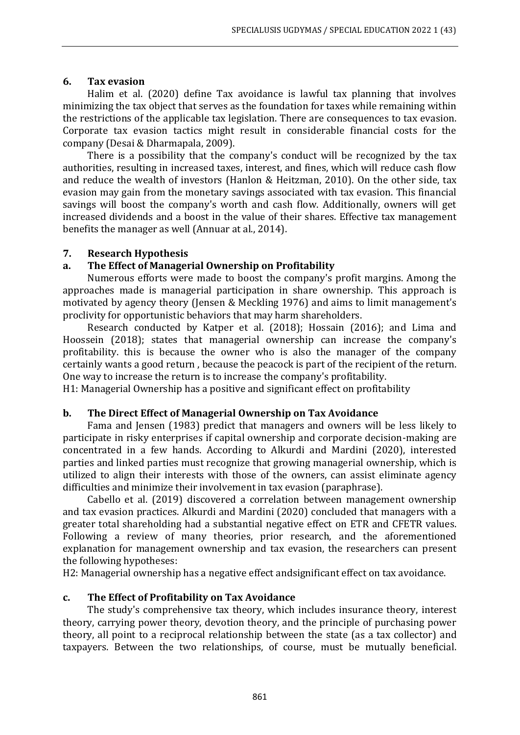### **6. Tax evasion**

Halim et al. (2020) define Tax avoidance is lawful tax planning that involves minimizing the tax object that serves as the foundation for taxes while remaining within the restrictions of the applicable tax legislation. There are consequences to tax evasion. Corporate tax evasion tactics might result in considerable financial costs for the company (Desai & Dharmapala, 2009).

There is a possibility that the company's conduct will be recognized by the tax authorities, resulting in increased taxes, interest, and fines, which will reduce cash flow and reduce the wealth of investors (Hanlon & Heitzman, 2010). On the other side, tax evasion may gain from the monetary savings associated with tax evasion. This financial savings will boost the company's worth and cash flow. Additionally, owners will get increased dividends and a boost in the value of their shares. Effective tax management benefits the manager as well (Annuar at al., 2014).

### **7. Research Hypothesis**

### **a. The Effect of Managerial Ownership on Profitability**

Numerous efforts were made to boost the company's profit margins. Among the approaches made is managerial participation in share ownership. This approach is motivated by agency theory (Jensen & Meckling 1976) and aims to limit management's proclivity for opportunistic behaviors that may harm shareholders.

Research conducted by Katper et al. (2018); Hossain (2016); and Lima and Hoossein (2018); states that managerial ownership can increase the company's profitability. this is because the owner who is also the manager of the company certainly wants a good return , because the peacock is part of the recipient of the return. One way to increase the return is to increase the company's profitability.

H1: Managerial Ownership has a positive and significant effect on profitability

### **b. The Direct Effect of Managerial Ownership on Tax Avoidance**

Fama and Jensen (1983) predict that managers and owners will be less likely to participate in risky enterprises if capital ownership and corporate decision-making are concentrated in a few hands. According to Alkurdi and Mardini (2020), interested parties and linked parties must recognize that growing managerial ownership, which is utilized to align their interests with those of the owners, can assist eliminate agency difficulties and minimize their involvement in tax evasion (paraphrase).

Cabello et al. (2019) discovered a correlation between management ownership and tax evasion practices. Alkurdi and Mardini (2020) concluded that managers with a greater total shareholding had a substantial negative effect on ETR and CFETR values. Following a review of many theories, prior research, and the aforementioned explanation for management ownership and tax evasion, the researchers can present the following hypotheses:

H2: Managerial ownership has a negative effect andsignificant effect on tax avoidance.

### **c. The Effect of Profitability on Tax Avoidance**

The study's comprehensive tax theory, which includes insurance theory, interest theory, carrying power theory, devotion theory, and the principle of purchasing power theory, all point to a reciprocal relationship between the state (as a tax collector) and taxpayers. Between the two relationships, of course, must be mutually beneficial.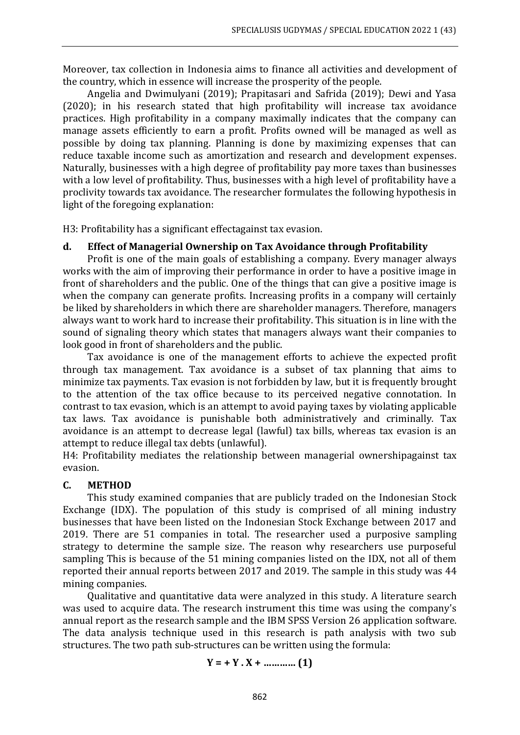Moreover, tax collection in Indonesia aims to finance all activities and development of the country, which in essence will increase the prosperity of the people.

Angelia and Dwimulyani (2019); Prapitasari and Safrida (2019); Dewi and Yasa (2020); in his research stated that high profitability will increase tax avoidance practices. High profitability in a company maximally indicates that the company can manage assets efficiently to earn a profit. Profits owned will be managed as well as possible by doing tax planning. Planning is done by maximizing expenses that can reduce taxable income such as amortization and research and development expenses. Naturally, businesses with a high degree of profitability pay more taxes than businesses with a low level of profitability. Thus, businesses with a high level of profitability have a proclivity towards tax avoidance. The researcher formulates the following hypothesis in light of the foregoing explanation:

H3: Profitability has a significant effectagainst tax evasion.

### **d. Effect of Managerial Ownership on Tax Avoidance through Profitability**

Profit is one of the main goals of establishing a company. Every manager always works with the aim of improving their performance in order to have a positive image in front of shareholders and the public. One of the things that can give a positive image is when the company can generate profits. Increasing profits in a company will certainly be liked by shareholders in which there are shareholder managers. Therefore, managers always want to work hard to increase their profitability. This situation is in line with the sound of signaling theory which states that managers always want their companies to look good in front of shareholders and the public.

Tax avoidance is one of the management efforts to achieve the expected profit through tax management. Tax avoidance is a subset of tax planning that aims to minimize tax payments. Tax evasion is not forbidden by law, but it is frequently brought to the attention of the tax office because to its perceived negative connotation. In contrast to tax evasion, which is an attempt to avoid paying taxes by violating applicable tax laws. Tax avoidance is punishable both administratively and criminally. Tax avoidance is an attempt to decrease legal (lawful) tax bills, whereas tax evasion is an attempt to reduce illegal tax debts (unlawful).

H4: Profitability mediates the relationship between managerial ownershipagainst tax evasion.

### **C. METHOD**

This study examined companies that are publicly traded on the Indonesian Stock Exchange (IDX). The population of this study is comprised of all mining industry businesses that have been listed on the Indonesian Stock Exchange between 2017 and 2019. There are 51 companies in total. The researcher used a purposive sampling strategy to determine the sample size. The reason why researchers use purposeful sampling This is because of the 51 mining companies listed on the IDX, not all of them reported their annual reports between 2017 and 2019. The sample in this study was 44 mining companies.

Qualitative and quantitative data were analyzed in this study. A literature search was used to acquire data. The research instrument this time was using the company's annual report as the research sample and the IBM SPSS Version 26 application software. The data analysis technique used in this research is path analysis with two sub structures. The two path sub-structures can be written using the formula:

**Y = + Y . X + ………… (1)**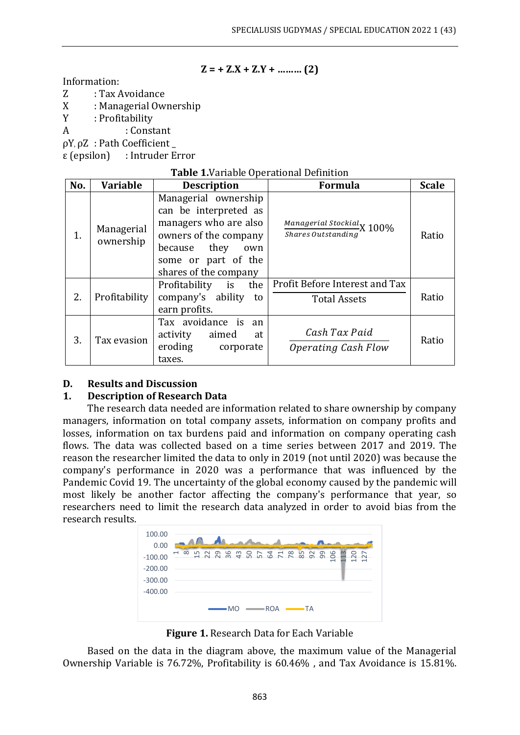$$
Z = + Z.X + Z.Y + \dots (2)
$$

Information:

- Z : Tax Avoidance
- X : Managerial Ownership
- Y : Profitability
- Α : Constant

ρY, ρZ : Path Coefficient \_

ε (epsilon) : Intruder Error

### **Table 1.**Variable Operational Definition

| No. | <b>Variable</b>         | <b>Description</b>                                                                                                                                                     | <b>Formula</b>                                        | <b>Scale</b> |
|-----|-------------------------|------------------------------------------------------------------------------------------------------------------------------------------------------------------------|-------------------------------------------------------|--------------|
| 1.  | Managerial<br>ownership | Managerial ownership<br>can be interpreted as<br>managers who are also<br>owners of the company<br>because they<br>own<br>some or part of the<br>shares of the company | Managerial Stockial X 100%<br>Shares Outstanding      | Ratio        |
| 2.  | Profitability           | Profitability is the<br>company's ability<br>to<br>earn profits.                                                                                                       | Profit Before Interest and Tax<br><b>Total Assets</b> | Ratio        |
| 3.  | Tax evasion             | Tax avoidance is an<br>activity aimed<br>at<br>eroding<br>corporate<br>taxes.                                                                                          | Cash Tax Paid<br>Operating Cash Flow                  | Ratio        |

### **D. Results and Discussion**

### **1. Description of Research Data**

The research data needed are information related to share ownership by company managers, information on total company assets, information on company profits and losses, information on tax burdens paid and information on company operating cash flows. The data was collected based on a time series between 2017 and 2019. The reason the researcher limited the data to only in 2019 (not until 2020) was because the company's performance in 2020 was a performance that was influenced by the Pandemic Covid 19. The uncertainty of the global economy caused by the pandemic will most likely be another factor affecting the company's performance that year, so researchers need to limit the research data analyzed in order to avoid bias from the research results.



**Figure 1.** Research Data for Each Variable

Based on the data in the diagram above, the maximum value of the Managerial Ownership Variable is 76.72%, Profitability is 60.46% , and Tax Avoidance is 15.81%.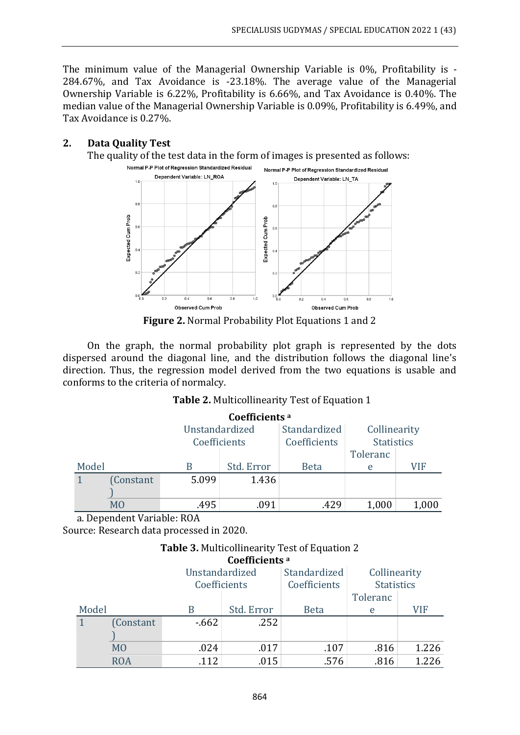The minimum value of the Managerial Ownership Variable is 0%, Profitability is - 284.67%, and Tax Avoidance is -23.18%. The average value of the Managerial Ownership Variable is 6.22%, Profitability is 6.66%, and Tax Avoidance is 0.40%. The median value of the Managerial Ownership Variable is 0.09%, Profitability is 6.49%, and Tax Avoidance is 0.27%.

### **2. Data Quality Test**

The quality of the test data in the form of images is presented as follows:



**Figure 2.** Normal Probability Plot Equations 1 and 2

On the graph, the normal probability plot graph is represented by the dots dispersed around the diagonal line, and the distribution follows the diagonal line's direction. Thus, the regression model derived from the two equations is usable and conforms to the criteria of normalcy.

### **Table 2.** Multicollinearity Test of Equation 1

| Coefficients <sup>a</sup> |          |                |            |              |                   |       |  |
|---------------------------|----------|----------------|------------|--------------|-------------------|-------|--|
|                           |          | Unstandardized |            | Standardized | Collinearity      |       |  |
|                           |          | Coefficients   |            | Coefficients | <b>Statistics</b> |       |  |
|                           |          |                | Toleranc   |              |                   |       |  |
| Model                     |          |                | Std. Error | <b>Beta</b>  | e                 | VIF   |  |
|                           | Constant | 5.099          | 1.436      |              |                   |       |  |
|                           |          |                |            |              |                   |       |  |
|                           | MO       | .495           | .091       | .429         | 1,000             | 1,000 |  |

a. Dependent Variable: ROA

Source: Research data processed in 2020.

#### **Table 3.** Multicollinearity Test of Equation 2 **Coefficients <sup>a</sup>**

|                |                |        | Coemicients " |                   |          |       |
|----------------|----------------|--------|---------------|-------------------|----------|-------|
| Unstandardized |                |        | Standardized  | Collinearity      |          |       |
| Coefficients   |                |        | Coefficients  | <b>Statistics</b> |          |       |
|                |                |        |               |                   | Toleranc |       |
| Model          |                |        | Std. Error    | <b>Beta</b>       | e        | VIF   |
|                | Constant       | $-662$ | .252          |                   |          |       |
|                |                |        |               |                   |          |       |
|                | M <sub>O</sub> | .024   | .017          | .107              | .816     | 1.226 |
|                | <b>ROA</b>     | .112   | .015          | .576              | .816     | 1.226 |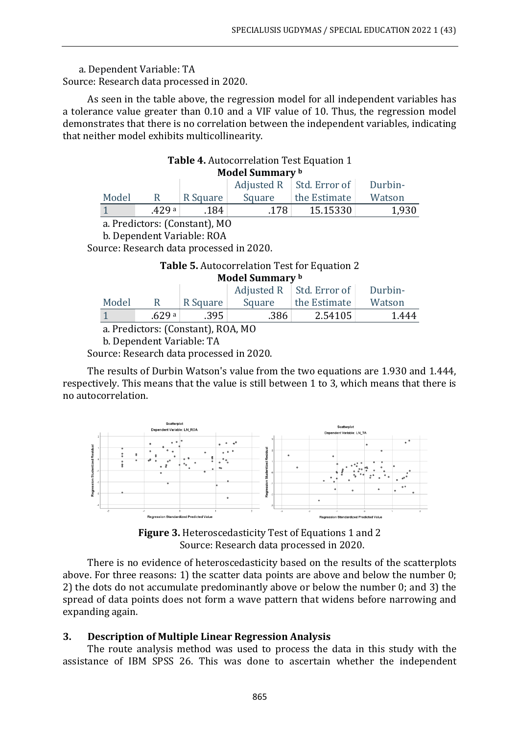a. Dependent Variable: TA Source: Research data processed in 2020.

As seen in the table above, the regression model for all independent variables has a tolerance value greater than 0.10 and a VIF value of 10. Thus, the regression model demonstrates that there is no correlation between the independent variables, indicating that neither model exhibits multicollinearity.

### **Table 4.** Autocorrelation Test Equation 1 **Model Summary <sup>b</sup>**

|       |        |          |        | Adjusted R   Std. Error of $\vert$ | Durbin- |
|-------|--------|----------|--------|------------------------------------|---------|
| Model |        | R Square | Square | the Estimate                       | Watson  |
|       | .429 a | .184     | .178   | 15.15330                           | 1.930   |

a. Predictors: (Constant), MO

b. Dependent Variable: ROA

Source: Research data processed in 2020.

# **Table 5.** Autocorrelation Test for Equation 2 **Model Summary <sup>b</sup>**

|       |        |          |        | Adjusted $R \mid$ Std. Error of | Durbin- |
|-------|--------|----------|--------|---------------------------------|---------|
| Model |        | R Square | Square | the Estimate                    | Watson  |
|       | .629 a | .395     | .386   | 2.54105                         | 1.444   |

a. Predictors: (Constant), ROA, MO

b. Dependent Variable: TA

Source: Research data processed in 2020.

The results of Durbin Watson's value from the two equations are 1.930 and 1.444, respectively. This means that the value is still between 1 to 3, which means that there is no autocorrelation.



**Figure 3.** Heteroscedasticity Test of Equations 1 and 2 Source: Research data processed in 2020.

There is no evidence of heteroscedasticity based on the results of the scatterplots above. For three reasons: 1) the scatter data points are above and below the number 0; 2) the dots do not accumulate predominantly above or below the number 0; and 3) the spread of data points does not form a wave pattern that widens before narrowing and expanding again.

### **3. Description of Multiple Linear Regression Analysis**

The route analysis method was used to process the data in this study with the assistance of IBM SPSS 26. This was done to ascertain whether the independent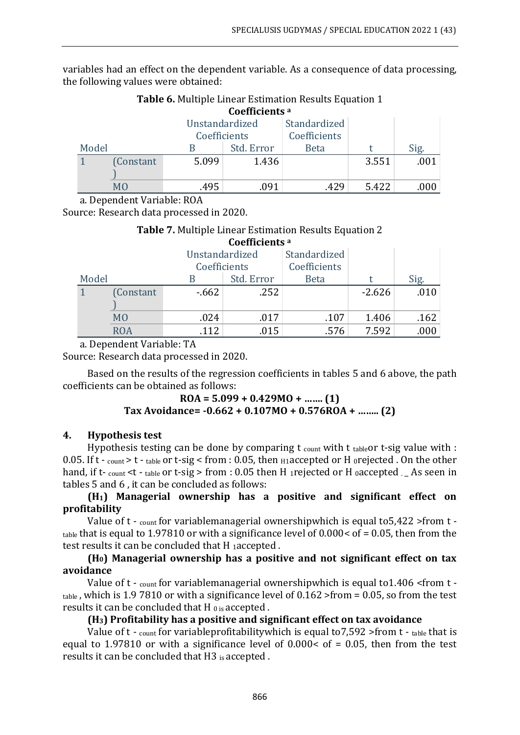variables had an effect on the dependent variable. As a consequence of data processing, the following values were obtained:

|       | <b>Table o.</b> Multiple Linear Estimation Results Equation 1 |                |                           |             |       |       |  |  |  |
|-------|---------------------------------------------------------------|----------------|---------------------------|-------------|-------|-------|--|--|--|
|       |                                                               |                | Coefficients <sup>a</sup> |             |       |       |  |  |  |
|       |                                                               | Unstandardized |                           |             |       |       |  |  |  |
|       |                                                               |                | Coefficients              |             |       |       |  |  |  |
| Model |                                                               |                | Std. Error                | <b>Beta</b> |       | Sig.  |  |  |  |
|       | (Constant)                                                    | 5.099          | 1.436                     |             | 3.551 | .001  |  |  |  |
|       |                                                               |                |                           |             |       |       |  |  |  |
|       | MO                                                            | 495.           | .091                      | .429        | 5.422 | .000- |  |  |  |

# **Table 6.** Multiple Linear Estimation Results Equation 1

a. Dependent Variable: ROA

Source: Research data processed in 2020.

### **Table 7.** Multiple Linear Estimation Results Equation 2 **Coefficients <sup>a</sup>**

|       |                | Unstandardized |              | Standardized |          |      |
|-------|----------------|----------------|--------------|--------------|----------|------|
|       |                |                | Coefficients |              |          |      |
| Model |                |                | Std. Error   | <b>Beta</b>  |          | Sig. |
|       | (Constant      | $-662$         | .252         |              | $-2.626$ | .010 |
|       |                |                |              |              |          |      |
|       | M <sub>O</sub> | .024           | .017         | .107         | 1.406    | .162 |
|       | ROA            | 112            | .015         | .576         | 7.592    | .000 |

a. Dependent Variable: TA

Source: Research data processed in 2020.

Based on the results of the regression coefficients in tables 5 and 6 above, the path coefficients can be obtained as follows:

> **ROA = 5.099 + 0.429MO + ……. (1) Tax Avoidance= -0.662 + 0.107MO + 0.576ROA + …….. (2)**

### **4. Hypothesis test**

Hypothesis testing can be done by comparing  $t_{\text{count}}$  with  $t_{\text{table}}$  t-sig value with : 0.05. If t - count > t - table or t-sig < from : 0.05, then  $H1$  accepted or H orejected . On the other hand, if t- count <t - table or t-sig > from : 0.05 then H 1 rejected or H 0accepted . \_ As seen in tables 5 and 6 , it can be concluded as follows:

### **(H1) Managerial ownership has a positive and significant effect on profitability**

Value of t - count for variablemanagerial ownershipwhich is equal to 5,422 > from t  $t_{\text{table}}$  that is equal to 1.97810 or with a significance level of 0.000 < of = 0.05, then from the test results it can be concluded that H 1accepted .

### **(H0) Managerial ownership has a positive and not significant effect on tax avoidance**

Value of t - count for variablemanagerial ownershipwhich is equal to1.406 <from t table , which is 1.9 7810 or with a significance level of 0.162 >from = 0.05, so from the test results it can be concluded that H  $_{0}$  is accepted.

### **(H3) Profitability has a positive and significant effect on tax avoidance**

Value of  $t -$  count for variableprofitability which is equal to 7,592 > from  $t -$  table that is equal to 1.97810 or with a significance level of  $0.000 <$  of = 0.05, then from the test results it can be concluded that H3 is accepted .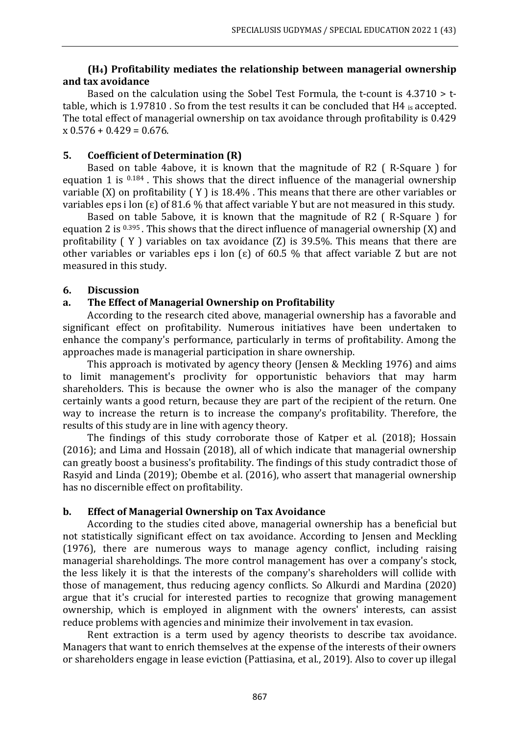## **(H4) Profitability mediates the relationship between managerial ownership and tax avoidance**

Based on the calculation using the Sobel Test Formula, the t-count is 4.3710 > ttable, which is 1.97810 . So from the test results it can be concluded that H4 is accepted. The total effect of managerial ownership on tax avoidance through profitability is 0.429  $x 0.576 + 0.429 = 0.676$ .

### **5. Coefficient of Determination (R)**

Based on table 4above, it is known that the magnitude of R2 ( R-Square ) for equation 1 is  $0.184$ . This shows that the direct influence of the managerial ownership variable (X) on profitability ( Y ) is 18.4% . This means that there are other variables or variables eps i lon ( $\varepsilon$ ) of 81.6 % that affect variable Y but are not measured in this study.

Based on table 5above, it is known that the magnitude of R2 ( R-Square ) for equation 2 is  $0.395$ . This shows that the direct influence of managerial ownership (X) and profitability ( Y ) variables on tax avoidance (Z) is 39.5%. This means that there are other variables or variables eps i lon  $\epsilon$ ) of 60.5 % that affect variable Z but are not measured in this study.

### **6. Discussion**

# **a. The Effect of Managerial Ownership on Profitability**

According to the research cited above, managerial ownership has a favorable and significant effect on profitability. Numerous initiatives have been undertaken to enhance the company's performance, particularly in terms of profitability. Among the approaches made is managerial participation in share ownership.

This approach is motivated by agency theory (Jensen & Meckling 1976) and aims to limit management's proclivity for opportunistic behaviors that may harm shareholders. This is because the owner who is also the manager of the company certainly wants a good return, because they are part of the recipient of the return. One way to increase the return is to increase the company's profitability. Therefore, the results of this study are in line with agency theory.

The findings of this study corroborate those of Katper et al. (2018); Hossain (2016); and Lima and Hossain (2018), all of which indicate that managerial ownership can greatly boost a business's profitability. The findings of this study contradict those of Rasyid and Linda (2019); Obembe et al. (2016), who assert that managerial ownership has no discernible effect on profitability.

### **b. Effect of Managerial Ownership on Tax Avoidance**

According to the studies cited above, managerial ownership has a beneficial but not statistically significant effect on tax avoidance. According to Jensen and Meckling (1976), there are numerous ways to manage agency conflict, including raising managerial shareholdings. The more control management has over a company's stock, the less likely it is that the interests of the company's shareholders will collide with those of management, thus reducing agency conflicts. So Alkurdi and Mardina (2020) argue that it's crucial for interested parties to recognize that growing management ownership, which is employed in alignment with the owners' interests, can assist reduce problems with agencies and minimize their involvement in tax evasion.

Rent extraction is a term used by agency theorists to describe tax avoidance. Managers that want to enrich themselves at the expense of the interests of their owners or shareholders engage in lease eviction (Pattiasina, et al., 2019). Also to cover up illegal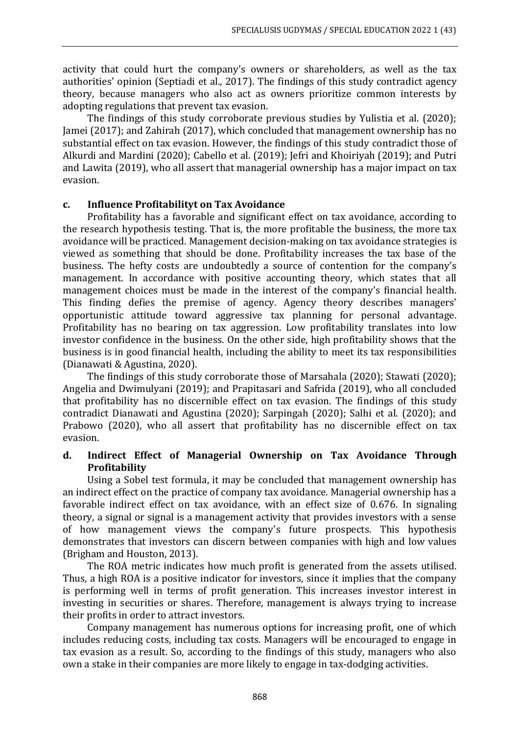activity that could hurt the company's owners or shareholders, as well as the tax authorities' opinion (Septiadi et al., 2017). The findings of this study contradict agency theory, because managers who also act as owners prioritize common interests by adopting regulations that prevent tax evasion.

The findings of this study corroborate previous studies by Yulistia et al. (2020); Jamei (2017); and Zahirah (2017), which concluded that management ownership has no substantial effect on tax evasion. However, the findings of this study contradict those of Alkurdi and Mardini (2020); Cabello et al. (2019); Jefri and Khoiriyah (2019); and Putri and Lawita (2019), who all assert that managerial ownership has a major impact on tax evasion.

### **c. Influence Profitabilityt on Tax Avoidance**

Profitability has a favorable and significant effect on tax avoidance, according to the research hypothesis testing. That is, the more profitable the business, the more tax avoidance will be practiced. Management decision-making on tax avoidance strategies is viewed as something that should be done. Profitability increases the tax base of the business. The hefty costs are undoubtedly a source of contention for the company's management. In accordance with positive accounting theory, which states that all management choices must be made in the interest of the company's financial health. This finding defies the premise of agency. Agency theory describes managers' opportunistic attitude toward aggressive tax planning for personal advantage. Profitability has no bearing on tax aggression. Low profitability translates into low investor confidence in the business. On the other side, high profitability shows that the business is in good financial health, including the ability to meet its tax responsibilities (Dianawati & Agustina, 2020).

The findings of this study corroborate those of Marsahala (2020); Stawati (2020); Angelia and Dwimulyani (2019); and Prapitasari and Safrida (2019), who all concluded that profitability has no discernible effect on tax evasion. The findings of this study contradict Dianawati and Agustina (2020); Sarpingah (2020); Salhi et al. (2020); and Prabowo (2020), who all assert that profitability has no discernible effect on tax evasion.

# **d. Indirect Effect of Managerial Ownership on Tax Avoidance Through Profitability**

Using a Sobel test formula, it may be concluded that management ownership has an indirect effect on the practice of company tax avoidance. Managerial ownership has a favorable indirect effect on tax avoidance, with an effect size of 0.676. In signaling theory, a signal or signal is a management activity that provides investors with a sense of how management views the company's future prospects. This hypothesis demonstrates that investors can discern between companies with high and low values (Brigham and Houston, 2013).

The ROA metric indicates how much profit is generated from the assets utilised. Thus, a high ROA is a positive indicator for investors, since it implies that the company is performing well in terms of profit generation. This increases investor interest in investing in securities or shares. Therefore, management is always trying to increase their profits in order to attract investors.

Company management has numerous options for increasing profit, one of which includes reducing costs, including tax costs. Managers will be encouraged to engage in tax evasion as a result. So, according to the findings of this study, managers who also own a stake in their companies are more likely to engage in tax-dodging activities.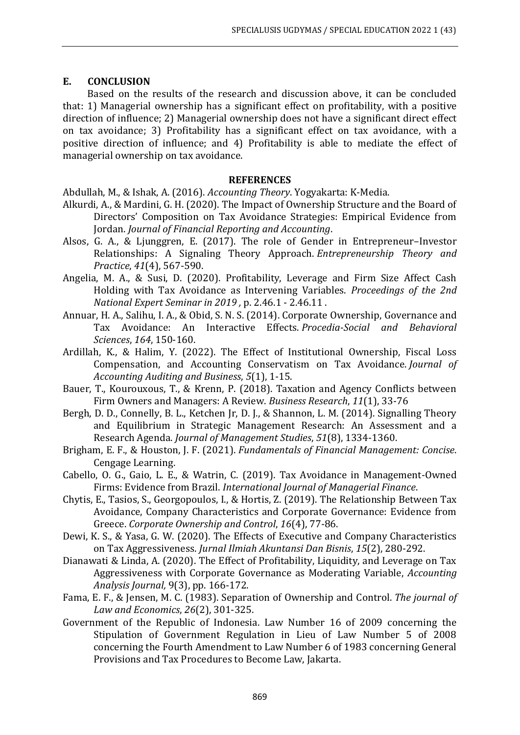### **E. CONCLUSION**

Based on the results of the research and discussion above, it can be concluded that: 1) Managerial ownership has a significant effect on profitability, with a positive direction of influence; 2) Managerial ownership does not have a significant direct effect on tax avoidance; 3) Profitability has a significant effect on tax avoidance, with a positive direction of influence; and 4) Profitability is able to mediate the effect of managerial ownership on tax avoidance.

### **REFERENCES**

Abdullah, M., & Ishak, A. (2016). *Accounting Theory*. Yogyakarta: K-Media.

- Alkurdi, A., & Mardini, G. H. (2020). The Impact of Ownership Structure and the Board of Directors' Composition on Tax Avoidance Strategies: Empirical Evidence from Jordan. *Journal of Financial Reporting and Accounting*.
- Alsos, G. A., & Ljunggren, E. (2017). The role of Gender in Entrepreneur–Investor Relationships: A Signaling Theory Approach. *Entrepreneurship Theory and Practice*, *41*(4), 567-590.
- Angelia, M. A., & Susi, D. (2020). Profitability, Leverage and Firm Size Affect Cash Holding with Tax Avoidance as Intervening Variables. *Proceedings of the 2nd National Expert Seminar in 2019 ,* p. 2.46.1 - 2.46.11 .
- Annuar, H. A., Salihu, I. A., & Obid, S. N. S. (2014). Corporate Ownership, Governance and Tax Avoidance: An Interactive Effects. *Procedia-Social and Behavioral Sciences*, *164*, 150-160.
- Ardillah, K., & Halim, Y. (2022). The Effect of Institutional Ownership, Fiscal Loss Compensation, and Accounting Conservatism on Tax Avoidance. *Journal of Accounting Auditing and Business*, *5*(1), 1-15.
- Bauer, T., Kourouxous, T., & Krenn, P. (2018). Taxation and Agency Conflicts between Firm Owners and Managers: A Review. *Business Research*, *11*(1), 33-76
- Bergh, D. D., Connelly, B. L., Ketchen Jr, D. J., & Shannon, L. M. (2014). Signalling Theory and Equilibrium in Strategic Management Research: An Assessment and a Research Agenda. *Journal of Management Studies*, *51*(8), 1334-1360.
- Brigham, E. F., & Houston, J. F. (2021). *Fundamentals of Financial Management: Concise*. Cengage Learning.
- Cabello, O. G., Gaio, L. E., & Watrin, C. (2019). Tax Avoidance in Management-Owned Firms: Evidence from Brazil. *International Journal of Managerial Finance*.
- Chytis, E., Tasios, S., Georgopoulos, I., & Hortis, Z. (2019). The Relationship Between Tax Avoidance, Company Characteristics and Corporate Governance: Evidence from Greece. *Corporate Ownership and Control*, *16*(4), 77-86.
- Dewi, K. S., & Yasa, G. W. (2020). The Effects of Executive and Company Characteristics on Tax Aggressiveness. *Jurnal Ilmiah Akuntansi Dan Bisnis*, *15*(2), 280-292.
- Dianawati & Linda, A. (2020). The Effect of Profitability, Liquidity, and Leverage on Tax Aggressiveness with Corporate Governance as Moderating Variable, *Accounting Analysis Journal,* 9(3), pp. 166-172.
- Fama, E. F., & Jensen, M. C. (1983). Separation of Ownership and Control. *The journal of Law and Economics*, *26*(2), 301-325.
- Government of the Republic of Indonesia. Law Number 16 of 2009 concerning the Stipulation of Government Regulation in Lieu of Law Number 5 of 2008 concerning the Fourth Amendment to Law Number 6 of 1983 concerning General Provisions and Tax Procedures to Become Law, Jakarta.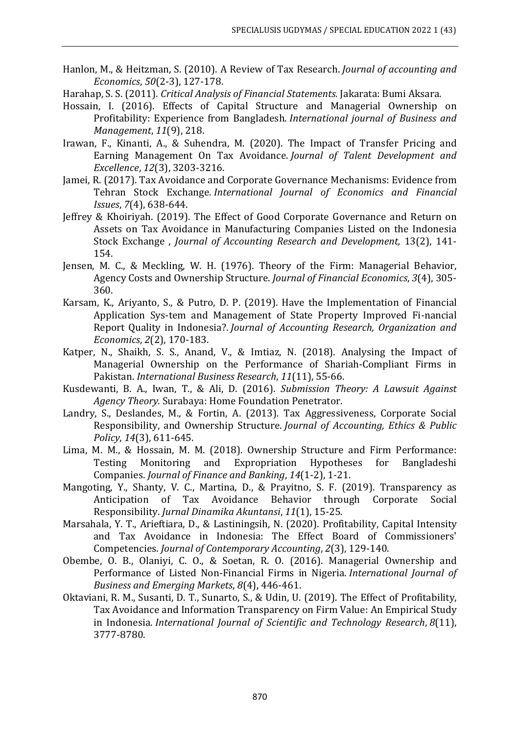- Hanlon, M., & Heitzman, S. (2010). A Review of Tax Research. *Journal of accounting and Economics*, *50*(2-3), 127-178.
- Harahap, S. S. (2011). *Critical Analysis of Financial Statements.* Jakarata: Bumi Aksara.
- Hossain, I. (2016). Effects of Capital Structure and Managerial Ownership on Profitability: Experience from Bangladesh. *International journal of Business and Management*, *11*(9), 218.
- Irawan, F., Kinanti, A., & Suhendra, M. (2020). The Impact of Transfer Pricing and Earning Management On Tax Avoidance. *Journal of Talent Development and Excellence*, *12*(3), 3203-3216.
- Jamei, R. (2017). Tax Avoidance and Corporate Governance Mechanisms: Evidence from Tehran Stock Exchange. *International Journal of Economics and Financial Issues*, *7*(4), 638-644.
- Jeffrey & Khoiriyah. (2019). The Effect of Good Corporate Governance and Return on Assets on Tax Avoidance in Manufacturing Companies Listed on the Indonesia Stock Exchange , *Journal of Accounting Research and Development,* 13(2), 141- 154.
- Jensen, M. C., & Meckling, W. H. (1976). Theory of the Firm: Managerial Behavior, Agency Costs and Ownership Structure. *Journal of Financial Economics*, *3*(4), 305- 360.
- Karsam, K., Ariyanto, S., & Putro, D. P. (2019). Have the Implementation of Financial Application Sys-tem and Management of State Property Improved Fi-nancial Report Quality in Indonesia?. *Journal of Accounting Research, Organization and Economics*, *2*(2), 170-183.
- Katper, N., Shaikh, S. S., Anand, V., & Imtiaz, N. (2018). Analysing the Impact of Managerial Ownership on the Performance of Shariah-Compliant Firms in Pakistan. *International Business Research*, *11*(11), 55-66.
- Kusdewanti, B. A., Iwan, T., & Ali, D. (2016). *Submission Theory: A Lawsuit Against Agency Theory.* Surabaya: Home Foundation Penetrator.
- Landry, S., Deslandes, M., & Fortin, A. (2013). Tax Aggressiveness, Corporate Social Responsibility, and Ownership Structure. *Journal of Accounting, Ethics & Public Policy*, *14*(3), 611-645.
- Lima, M. M., & Hossain, M. M. (2018). Ownership Structure and Firm Performance: Testing Monitoring and Expropriation Hypotheses for Bangladeshi Companies. *Journal of Finance and Banking*, *14*(1-2), 1-21.
- Mangoting, Y., Shanty, V. C., Martina, D., & Prayitno, S. F. (2019). Transparency as Anticipation of Tax Avoidance Behavior through Corporate Social Responsibility. *Jurnal Dinamika Akuntansi*, *11*(1), 15-25.
- Marsahala, Y. T., Arieftiara, D., & Lastiningsih, N. (2020). Profitability, Capital Intensity and Tax Avoidance in Indonesia: The Effect Board of Commissioners' Competencies. *Journal of Contemporary Accounting*, *2*(3), 129-140.
- Obembe, O. B., Olaniyi, C. O., & Soetan, R. O. (2016). Managerial Ownership and Performance of Listed Non-Financial Firms in Nigeria. *International Journal of Business and Emerging Markets*, *8*(4), 446-461.
- Oktaviani, R. M., Susanti, D. T., Sunarto, S., & Udin, U. (2019). The Effect of Profitability, Tax Avoidance and Information Transparency on Firm Value: An Empirical Study in Indonesia. *International Journal of Scientific and Technology Research*, *8*(11), 3777-8780.